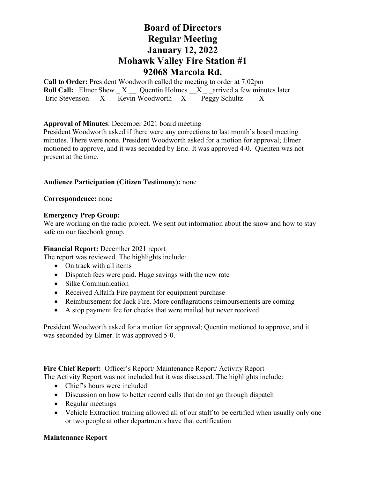# **Board of Directors Regular Meeting January 12, 2022 Mohawk Valley Fire Station #1 92068 Marcola Rd.**

**Call to Order:** President Woodworth called the meeting to order at 7:02pm **Roll Call:** Elmer Shew X \_\_ Quentin Holmes X \_\_ arrived a few minutes later Eric Stevenson  $X$  Kevin Woodworth  $X$  Peggy Schultz  $X$ 

## **Approval of Minutes**: December 2021 board meeting

President Woodworth asked if there were any corrections to last month's board meeting minutes. There were none. President Woodworth asked for a motion for approval; Elmer motioned to approve, and it was seconded by Eric. It was approved 4-0. Quenten was not present at the time.

## **Audience Participation (Citizen Testimony):** none

**Correspondence:** none

### **Emergency Prep Group:**

We are working on the radio project. We sent out information about the snow and how to stay safe on our facebook group.

### **Financial Report:** December 2021 report

The report was reviewed. The highlights include:

- On track with all items
- Dispatch fees were paid. Huge savings with the new rate
- Silke Communication
- Received Alfalfa Fire payment for equipment purchase
- Reimbursement for Jack Fire. More conflagrations reimbursements are coming
- A stop payment fee for checks that were mailed but never received

President Woodworth asked for a motion for approval; Quentin motioned to approve, and it was seconded by Elmer. It was approved 5-0.

**Fire Chief Report:** Officer's Report/ Maintenance Report/ Activity Report

The Activity Report was not included but it was discussed. The highlights include:

- Chief's hours were included
- Discussion on how to better record calls that do not go through dispatch
- Regular meetings
- Vehicle Extraction training allowed all of our staff to be certified when usually only one or two people at other departments have that certification

### **Maintenance Report**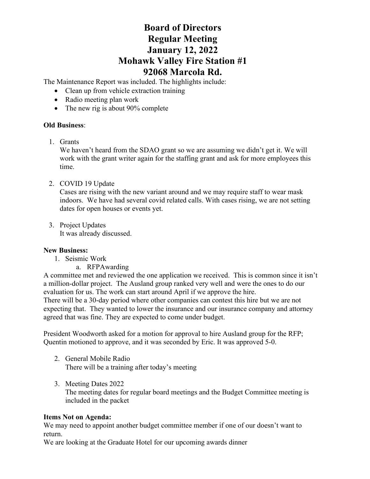# **Board of Directors Regular Meeting January 12, 2022 Mohawk Valley Fire Station #1 92068 Marcola Rd.**

The Maintenance Report was included. The highlights include:

- Clean up from vehicle extraction training
- Radio meeting plan work
- The new rig is about 90% complete

## **Old Business**:

1. Grants

We haven't heard from the SDAO grant so we are assuming we didn't get it. We will work with the grant writer again for the staffing grant and ask for more employees this time.

2. COVID 19 Update

Cases are rising with the new variant around and we may require staff to wear mask indoors. We have had several covid related calls. With cases rising, we are not setting dates for open houses or events yet.

3. Project Updates It was already discussed.

## **New Business:**

- 1. Seismic Work
	- a. RFPAwarding

A committee met and reviewed the one application we received. This is common since it isn't a million-dollar project. The Ausland group ranked very well and were the ones to do our evaluation for us. The work can start around April if we approve the hire. There will be a 30-day period where other companies can contest this hire but we are not expecting that. They wanted to lower the insurance and our insurance company and attorney agreed that was fine. They are expected to come under budget.

President Woodworth asked for a motion for approval to hire Ausland group for the RFP; Quentin motioned to approve, and it was seconded by Eric. It was approved 5-0.

- 2. General Mobile Radio There will be a training after today's meeting
- 3. Meeting Dates 2022

The meeting dates for regular board meetings and the Budget Committee meeting is included in the packet

## **Items Not on Agenda:**

We may need to appoint another budget committee member if one of our doesn't want to return.

We are looking at the Graduate Hotel for our upcoming awards dinner